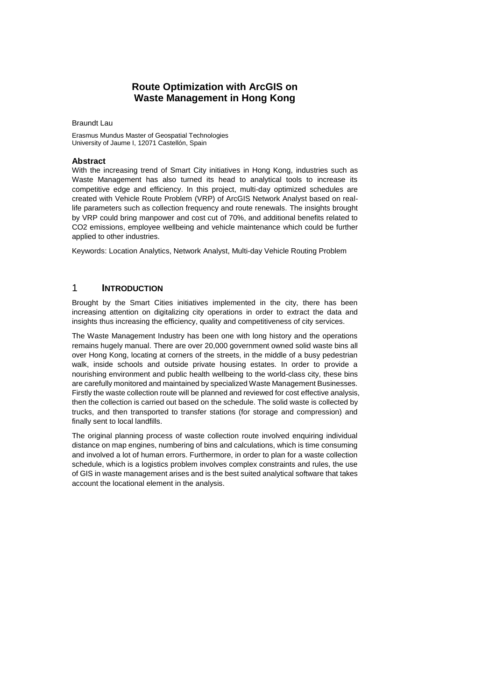# **Route Optimization with ArcGIS on Waste Management in Hong Kong**

Braundt Lau

Erasmus Mundus Master of Geospatial Technologies University of Jaume I, 12071 Castellón, Spain

#### **Abstract**

With the increasing trend of Smart City initiatives in Hong Kong, industries such as Waste Management has also turned its head to analytical tools to increase its competitive edge and efficiency. In this project, multi-day optimized schedules are created with Vehicle Route Problem (VRP) of ArcGIS Network Analyst based on reallife parameters such as collection frequency and route renewals. The insights brought by VRP could bring manpower and cost cut of 70%, and additional benefits related to CO2 emissions, employee wellbeing and vehicle maintenance which could be further applied to other industries.

Keywords: Location Analytics, Network Analyst, Multi-day Vehicle Routing Problem

### 1 **INTRODUCTION**

Brought by the Smart Cities initiatives implemented in the city, there has been increasing attention on digitalizing city operations in order to extract the data and insights thus increasing the efficiency, quality and competitiveness of city services.

The Waste Management Industry has been one with long history and the operations remains hugely manual. There are over 20,000 government owned solid waste bins all over Hong Kong, locating at corners of the streets, in the middle of a busy pedestrian walk, inside schools and outside private housing estates. In order to provide a nourishing environment and public health wellbeing to the world-class city, these bins are carefully monitored and maintained by specialized Waste Management Businesses. Firstly the waste collection route will be planned and reviewed for cost effective analysis, then the collection is carried out based on the schedule. The solid waste is collected by trucks, and then transported to transfer stations (for storage and compression) and finally sent to local landfills.

The original planning process of waste collection route involved enquiring individual distance on map engines, numbering of bins and calculations, which is time consuming and involved a lot of human errors. Furthermore, in order to plan for a waste collection schedule, which is a logistics problem involves complex constraints and rules, the use of GIS in waste management arises and is the best suited analytical software that takes account the locational element in the analysis.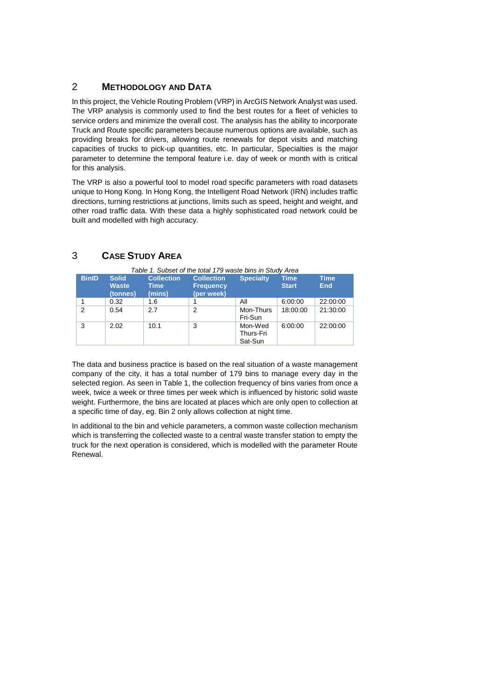## 2 **METHODOLOGY AND DATA**

In this project, the Vehicle Routing Problem (VRP) in ArcGIS Network Analyst was used. The VRP analysis is commonly used to find the best routes for a fleet of vehicles to service orders and minimize the overall cost. The analysis has the ability to incorporate Truck and Route specific parameters because numerous options are available, such as providing breaks for drivers, allowing route renewals for depot visits and matching capacities of trucks to pick-up quantities, etc. In particular, Specialties is the major parameter to determine the temporal feature i.e. day of week or month with is critical for this analysis.

The VRP is also a powerful tool to model road specific parameters with road datasets unique to Hong Kong. In Hong Kong, the Intelligent Road Network (IRN) includes traffic directions, turning restrictions at junctions, limits such as speed, height and weight, and other road traffic data. With these data a highly sophisticated road network could be built and modelled with high accuracy.

| <b>BinID</b>   | <b>Solid</b><br><b>Waste</b><br>(tonnes) | <b>Collection</b><br><b>Time</b><br>(mins) | <b>Collection</b><br><b>Frequency</b><br>(per week) | <b>Specialty</b>                | <b>Time</b><br><b>Start</b> | <b>Time</b><br><b>End</b> |
|----------------|------------------------------------------|--------------------------------------------|-----------------------------------------------------|---------------------------------|-----------------------------|---------------------------|
|                | 0.32                                     | 1.6                                        |                                                     | ΑIΙ                             | 6:00:00                     | 22:00:00                  |
| $\overline{2}$ | 0.54                                     | 2.7                                        | $\overline{2}$                                      | Mon-Thurs<br>Fri-Sun            | 18:00:00                    | 21:30:00                  |
| 3              | 2.02                                     | 10.1                                       | 3                                                   | Mon-Wed<br>Thurs-Fri<br>Sat-Sun | 6:00:00                     | 22:00:00                  |

## 3 **CASE STUDY AREA**

The data and business practice is based on the real situation of a waste management company of the city, it has a total number of 179 bins to manage every day in the selected region. As seen in Table 1, the collection frequency of bins varies from once a week, twice a week or three times per week which is influenced by historic solid waste weight. Furthermore, the bins are located at places which are only open to collection at a specific time of day, eg. Bin 2 only allows collection at night time.

In additional to the bin and vehicle parameters, a common waste collection mechanism which is transferring the collected waste to a central waste transfer station to empty the truck for the next operation is considered, which is modelled with the parameter Route Renewal.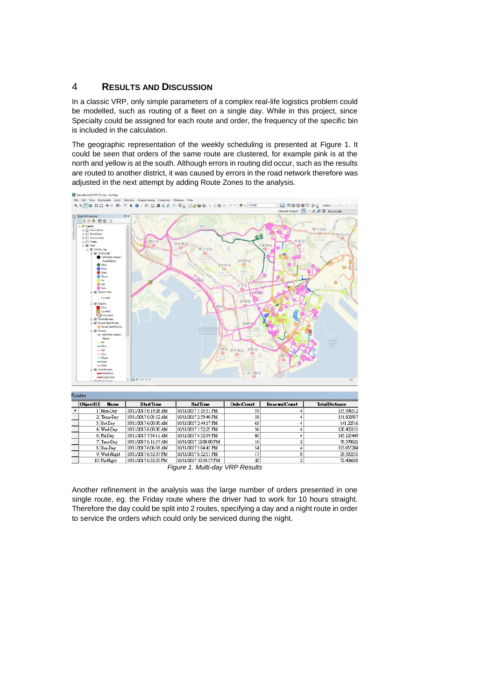## 4 **RESULTS AND DISCUSSION**

In a classic VRP, only simple parameters of a complex real-life logistics problem could be modelled, such as routing of a fleet on a single day. While in this project, since Specialty could be assigned for each route and order, the frequency of the specific bin is included in the calculation.

The geographic representation of the weekly scheduling is presented at Figure 1. It could be seen that orders of the same route are clustered, for example pink is at the north and yellow is at the south. Although errors in routing did occur, such as the results are routed to another district, it was caused by errors in the road network therefore was adjusted in the next attempt by adding Route Zones to the analysis.



| Routes:                        |               |                       |                        |                   |                     |                      |
|--------------------------------|---------------|-----------------------|------------------------|-------------------|---------------------|----------------------|
| ObjectID                       | Name          | <b>StartTime</b>      | EndTime                | <b>OrderCount</b> | <b>RenewalCount</b> | <b>TotalDistance</b> |
|                                | Mon-Day       | 10/11/2017 6:19:28 AM | 10/11/2017 3:13:51 PM  | 59                |                     | 135.398312           |
|                                | $2$ Thurs-Day | 10/11/2017 6:03:52 AM | 10/11/2017 2:59:40 PM  | 58                |                     | 131.802957           |
|                                | 3 Sat-Day     | 10/11/2017 6:00:00 AM | 10/11/2017 2:44:17 PM  | 63                |                     | 141.22516            |
|                                | 4 Wed-Day     | 10/11/2017 6:00:00 AM | 10/11/2017 1:52:25 PM  | 36                |                     | 120.402151           |
|                                | 6 Fri-Day     | 10/11/2017 7:54:11 AM | 10/11/2017 4:52:39 PM  | 60                |                     | 145.125449           |
|                                | 7 Tues-Day    | 10/11/2017 6:16:37 AM | 10/11/2017 12:00:00 PM | 16                |                     | 78.370821            |
|                                | 8 Sun-Day     | 10/11/2017 6:06:38 AM | 10/11/2017 3:04:43 PM  | 54                |                     | 133.655204           |
|                                | 9 Wed-Night   | 10/11/2017 6:32:07 PM | 10/11/2017 8:12:51 PM  | 17                | ٥                   | 29.392131            |
|                                | 10 Fri-Night  | 10/11/2017 6:32:50 PM | 10/11/2017 10:30:57 PM | 20                | 2                   | 72.406638            |
| Figure 1 Multi-day VRP Results |               |                       |                        |                   |                     |                      |

*Figure 1. Multi-day VRP Results*

Another refinement in the analysis was the large number of orders presented in one single route, eg. the Friday route where the driver had to work for 10 hours straight. Therefore the day could be split into 2 routes, specifying a day and a night route in order to service the orders which could only be serviced during the night.